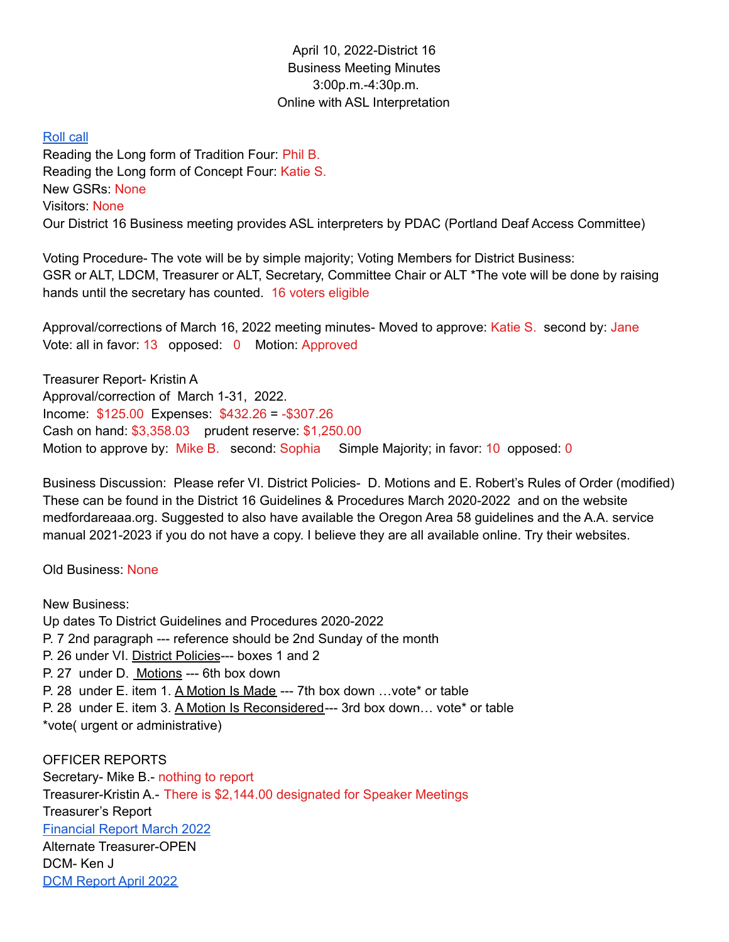## April 10, 2022-District 16 Business Meeting Minutes 3:00p.m.-4:30p.m. Online with ASL Interpretation

## [Roll](https://docs.google.com/spreadsheets/d/1Pc7ywA5IN0sO6C4VlcHEEHiMcZ5-ZwDRphutV5q77qs/edit?usp=sharing) call

Reading the Long form of Tradition Four: Phil B. Reading the Long form of Concept Four: Katie S. New GSRs: None Visitors: None Our District 16 Business meeting provides ASL interpreters by PDAC (Portland Deaf Access Committee)

Voting Procedure- The vote will be by simple majority; Voting Members for District Business: GSR or ALT, LDCM, Treasurer or ALT, Secretary, Committee Chair or ALT \*The vote will be done by raising hands until the secretary has counted. 16 voters eligible

Approval/corrections of March 16, 2022 meeting minutes- Moved to approve: Katie S. second by: Jane Vote: all in favor: 13 opposed: 0 Motion: Approved

Treasurer Report- Kristin A Approval/correction of March 1-31, 2022. Income: \$125.00 Expenses: \$432.26 = -\$307.26 Cash on hand: \$3,358.03 prudent reserve: \$1,250.00 Motion to approve by: Mike B. second: Sophia Simple Majority; in favor: 10 opposed: 0

Business Discussion: Please refer VI. District Policies- D. Motions and E. Robert's Rules of Order (modified) These can be found in the District 16 Guidelines & Procedures March 2020-2022 and on the website medfordareaaa.org. Suggested to also have available the Oregon Area 58 guidelines and the A.A. service manual 2021-2023 if you do not have a copy. I believe they are all available online. Try their websites.

## Old Business: None

New Business: Up dates To District Guidelines and Procedures 2020-2022 P. 7 2nd paragraph --- reference should be 2nd Sunday of the month P. 26 under VI. District Policies--- boxes 1 and 2 P. 27 under D. Motions --- 6th box down P. 28 under E. item 1. A Motion Is Made --- 7th box down …vote\* or table P. 28 under E. item 3. A Motion Is Reconsidered--- 3rd box down… vote\* or table \*vote( urgent or administrative)

OFFICER REPORTS Secretary- Mike B.- nothing to report Treasurer-Kristin A.- There is \$2,144.00 designated for Speaker Meetings Treasurer's Report [Financial](https://docs.google.com/document/d/1Xv71Wnfm7BHfrO7lckNfP71-sCKrIbfP3fk1Ki4tiRo/edit?usp=sharing) Report March 2022 Alternate Treasurer-OPEN DCM- Ken J DCM [Report](https://docs.google.com/document/d/12fQkWMjQ-pYy5XK1TkSduD2iqdn-11M62dIyHo0jmi8/edit?usp=sharing) April 2022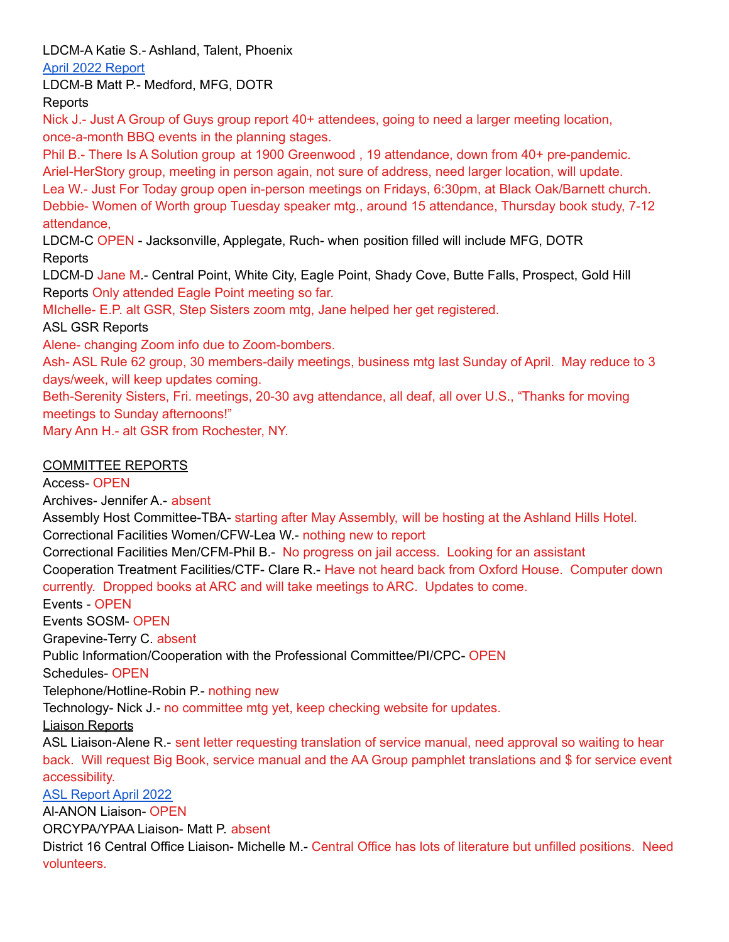LDCM-A Katie S.- Ashland, Talent, Phoenix

April 2022 [Report](https://docs.google.com/document/d/1RAnHjnmdKxBuXG5bQPWKaIB_lM4lwUnQoa71lLG18JQ/edit?usp=sharing)

LDCM-B Matt P.- Medford, MFG, DOTR

Reports

Nick J.- Just A Group of Guys group report 40+ attendees, going to need a larger meeting location, once-a-month BBQ events in the planning stages.

Phil B.- There Is A Solution group at 1900 Greenwood , 19 attendance, down from 40+ pre-pandemic. Ariel-HerStory group, meeting in person again, not sure of address, need larger location, will update. Lea W.- Just For Today group open in-person meetings on Fridays, 6:30pm, at Black Oak/Barnett church. Debbie- Women of Worth group Tuesday speaker mtg., around 15 attendance, Thursday book study, 7-12 attendance,

LDCM-C OPEN - Jacksonville, Applegate, Ruch- when position filled will include MFG, DOTR Reports

LDCM-D Jane M.- Central Point, White City, Eagle Point, Shady Cove, Butte Falls, Prospect, Gold Hill Reports Only attended Eagle Point meeting so far.

MIchelle- E.P. alt GSR, Step Sisters zoom mtg, Jane helped her get registered.

ASL GSR Reports

Alene- changing Zoom info due to Zoom-bombers.

Ash- ASL Rule 62 group, 30 members-daily meetings, business mtg last Sunday of April. May reduce to 3 days/week, will keep updates coming.

Beth-Serenity Sisters, Fri. meetings, 20-30 avg attendance, all deaf, all over U.S., "Thanks for moving meetings to Sunday afternoons!"

Mary Ann H.- alt GSR from Rochester, NY.

COMMITTEE REPORTS

Access- OPEN

Archives- Jennifer A.- absent

Assembly Host Committee-TBA- starting after May Assembly, will be hosting at the Ashland Hills Hotel. Correctional Facilities Women/CFW-Lea W.- nothing new to report

Correctional Facilities Men/CFM-Phil B.- No progress on jail access. Looking for an assistant Cooperation Treatment Facilities/CTF- Clare R.- Have not heard back from Oxford House. Computer down currently. Dropped books at ARC and will take meetings to ARC. Updates to come.

Events - OPEN

Events SOSM- OPEN

Grapevine-Terry C. absent

Public Information/Cooperation with the Professional Committee/PI/CPC- OPEN

Schedules- OPEN

Telephone/Hotline-Robin P.- nothing new

Technology- Nick J.- no committee mtg yet, keep checking website for updates.

Liaison Reports

ASL Liaison-Alene R.- sent letter requesting translation of service manual, need approval so waiting to hear back. Will request Big Book, service manual and the AA Group pamphlet translations and \$ for service event accessibility.

ASL [Report](https://docs.google.com/document/d/1MDk6dCfGPOr0Grmp3g3BOO8NZFrxjin42iK21bNtPoI/edit?usp=sharing) April 2022

Al-ANON Liaison- OPEN

ORCYPA/YPAA Liaison- Matt P. absent

District 16 Central Office Liaison- Michelle M.- Central Office has lots of literature but unfilled positions. Need volunteers.